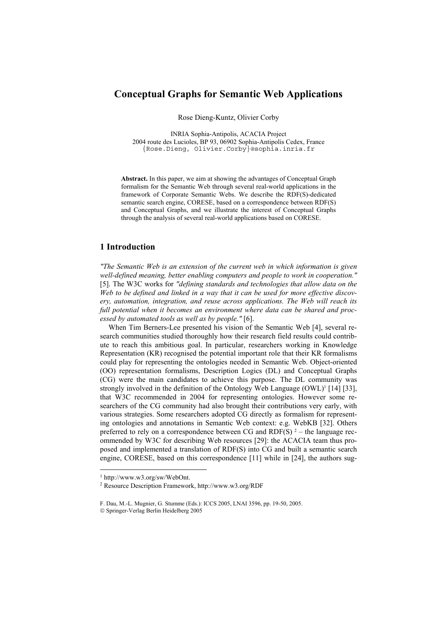# **Conceptual Graphs for Semantic Web Applications**

Rose Dieng-Kuntz, Olivier Corby

INRIA Sophia-Antipolis, ACACIA Project 2004 route des Lucioles, BP 93, 06902 Sophia-Antipolis Cedex, France {Rose.Dieng, Olivier.Corby}@sophia.inria.fr

**Abstract.** In this paper, we aim at showing the advantages of Conceptual Graph formalism for the Semantic Web through several real-world applications in the framework of Corporate Semantic Webs. We describe the RDF(S)-dedicated semantic search engine, CORESE, based on a correspondence between RDF(S) and Conceptual Graphs, and we illustrate the interest of Conceptual Graphs through the analysis of several real-world applications based on CORESE.

### **1 Introduction**

*"The Semantic Web is an extension of the current web in which information is given well-defined meaning, better enabling computers and people to work in cooperation."* [5]. The W3C works for *"defining standards and technologies that allow data on the Web to be defined and linked in a way that it can be used for more effective discovery, automation, integration, and reuse across applications. The Web will reach its full potential when it becomes an environment where data can be shared and processed by automated tools as well as by people."* [6].

When Tim Berners-Lee presented his vision of the Semantic Web [4], several research communities studied thoroughly how their research field results could contribute to reach this ambitious goal. In particular, researchers working in Knowledge Representation (KR) recognised the potential important role that their KR formalisms could play for representing the ontologies needed in Semantic Web. Object-oriented (OO) representation formalisms, Description Logics (DL) and Conceptual Graphs (CG) were the main candidates to achieve this purpose. The DL community was strongly involved in the definition of the Ontology Web Language  $(OWL)^1$  [14] [33], that W3C recommended in 2004 for representing ontologies. However some researchers of the CG community had also brought their contributions very early, with various strategies. Some researchers adopted CG directly as formalism for representing ontologies and annotations in Semantic Web context: e.g. WebKB [32]. Others preferred to rely on a correspondence between CG and RDF(S)  $2 2 -$  the language recommended by W3C for describing Web resources [29]: the ACACIA team thus proposed and implemented a translation of RDF(S) into CG and built a semantic search engine, CORESE, based on this correspondence [11] while in [24], the authors sug-

 $\overline{a}$ 

<span id="page-0-0"></span><sup>1</sup> http://www.w3.org/sw/WebOnt.

<span id="page-0-1"></span><sup>2</sup> Resource Description Framework, http://www.w3.org/RDF

F. Dau, M.-L. Mugnier, G. Stumme (Eds.): ICCS 2005, LNAI 3596, pp. 19-50, 2005.

Springer-Verlag Berlin Heidelberg 2005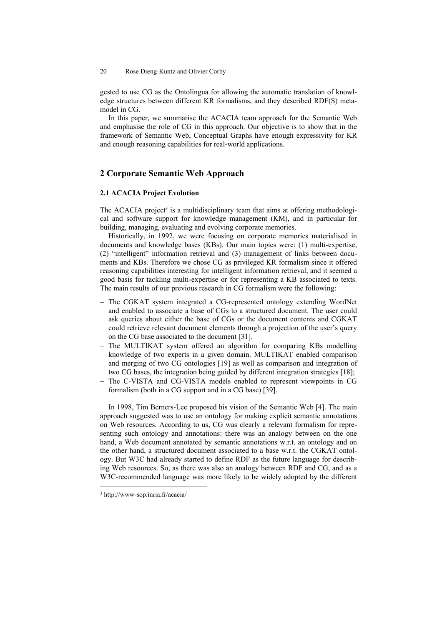gested to use CG as the Ontolingua for allowing the automatic translation of knowledge structures between different KR formalisms, and they described RDF(S) metamodel in CG.

In this paper, we summarise the ACACIA team approach for the Semantic Web and emphasise the role of CG in this approach. Our objective is to show that in the framework of Semantic Web, Conceptual Graphs have enough expressivity for KR and enough reasoning capabilities for real-world applications.

### **2 Corporate Semantic Web Approach**

#### **2.1 ACACIA Project Evolution**

The ACACIA project<sup>3</sup> is a multidisciplinary team that aims at offering methodological and software support for knowledge management (KM), and in particular for building, managing, evaluating and evolving corporate memories.

Historically, in 1992, we were focusing on corporate memories materialised in documents and knowledge bases (KBs). Our main topics were: (1) multi-expertise, (2) "intelligent" information retrieval and (3) management of links between documents and KBs. Therefore we chose CG as privileged KR formalism since it offered reasoning capabilities interesting for intelligent information retrieval, and it seemed a good basis for tackling multi-expertise or for representing a KB associated to texts. The main results of our previous research in CG formalism were the following:

- − The CGKAT system integrated a CG-represented ontology extending WordNet and enabled to associate a base of CGs to a structured document. The user could ask queries about either the base of CGs or the document contents and CGKAT could retrieve relevant document elements through a projection of the user's query on the CG base associated to the document [31].
- − The MULTIKAT system offered an algorithm for comparing KBs modelling knowledge of two experts in a given domain. MULTIKAT enabled comparison and merging of two CG ontologies [19] as well as comparison and integration of two CG bases, the integration being guided by different integration strategies [18];
- − The C-VISTA and CG-VISTA models enabled to represent viewpoints in CG formalism (both in a CG support and in a CG base) [39].

In 1998, Tim Berners-Lee proposed his vision of the Semantic Web [4]. The main approach suggested was to use an ontology for making explicit semantic annotations on Web resources. According to us, CG was clearly a relevant formalism for representing such ontology and annotations: there was an analogy between on the one hand, a Web document annotated by semantic annotations w.r.t. an ontology and on the other hand, a structured document associated to a base w.r.t. the CGKAT ontology. But W3C had already started to define RDF as the future language for describing Web resources. So, as there was also an analogy between RDF and CG, and as a W3C-recommended language was more likely to be widely adopted by the different

 $\overline{a}$ 

<span id="page-1-0"></span><sup>3</sup> http://www-sop.inria.fr/acacia/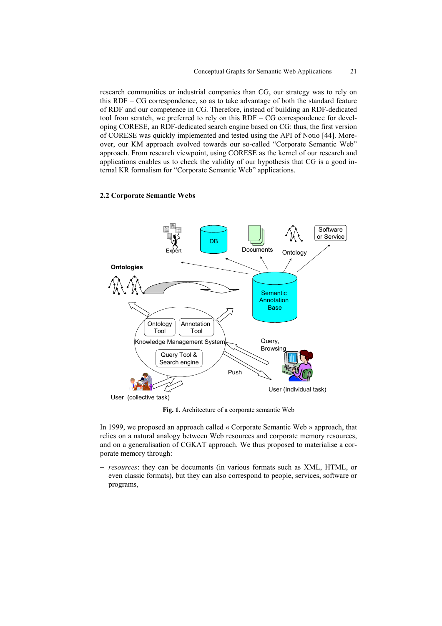research communities or industrial companies than CG, our strategy was to rely on this RDF – CG correspondence, so as to take advantage of both the standard feature of RDF and our competence in CG. Therefore, instead of building an RDF-dedicated tool from scratch, we preferred to rely on this RDF – CG correspondence for developing CORESE, an RDF-dedicated search engine based on CG: thus, the first version of CORESE was quickly implemented and tested using the API of Notio [44]. Moreover, our KM approach evolved towards our so-called "Corporate Semantic Web" approach. From research viewpoint, using CORESE as the kernel of our research and applications enables us to check the validity of our hypothesis that CG is a good internal KR formalism for "Corporate Semantic Web" applications.

#### **2.2 Corporate Semantic Webs**



**Fig. 1.** Architecture of a corporate semantic Web

In 1999, we proposed an approach called « Corporate Semantic Web » approach, that relies on a natural analogy between Web resources and corporate memory resources, and on a generalisation of CGKAT approach. We thus proposed to materialise a corporate memory through:

− *resources*: they can be documents (in various formats such as XML, HTML, or even classic formats), but they can also correspond to people, services, software or programs,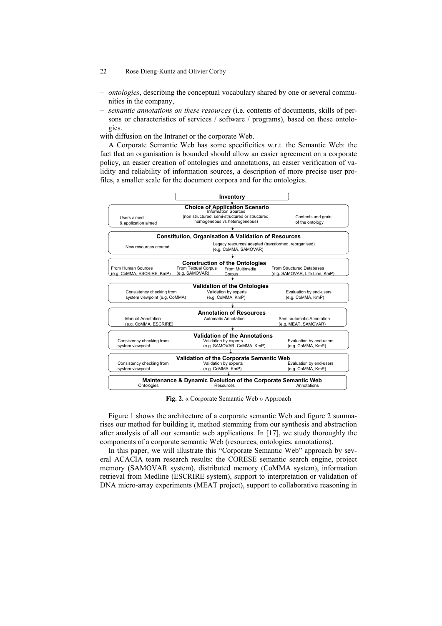- 22 Rose Dieng-Kuntz and Olivier Corby
- − *ontologies*, describing the conceptual vocabulary shared by one or several communities in the company,
- − *semantic annotations on these resources* (i.e. contents of documents, skills of persons or characteristics of services / software / programs), based on these ontologies.

with diffusion on the Intranet or the corporate Web.

A Corporate Semantic Web has some specificities w.r.t. the Semantic Web: the fact that an organisation is bounded should allow an easier agreement on a corporate policy, an easier creation of ontologies and annotations, an easier verification of validity and reliability of information sources, a description of more precise user profiles, a smaller scale for the document corpora and for the ontologies.



**Fig. 2.** « Corporate Semantic Web » Approach

Figure 1 shows the architecture of a corporate semantic Web and figure 2 summarises our method for building it, method stemming from our synthesis and abstraction after analysis of all our semantic web applications. In [17], we study thoroughly the components of a corporate semantic Web (resources, ontologies, annotations).

In this paper, we will illustrate this "Corporate Semantic Web" approach by several ACACIA team research results: the CORESE semantic search engine, project memory (SAMOVAR system), distributed memory (CoMMA system), information retrieval from Medline (ESCRIRE system), support to interpretation or validation of DNA micro-array experiments (MEAT project), support to collaborative reasoning in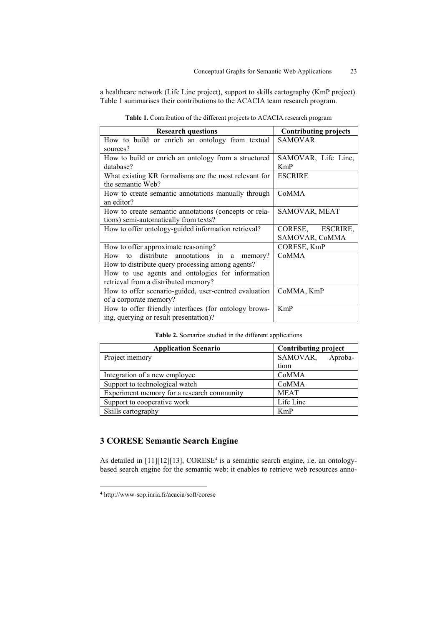a healthcare network (Life Line project), support to skills cartography (KmP project). Table 1 summarises their contributions to the ACACIA team research program.

| <b>Research questions</b>                             | <b>Contributing projects</b> |
|-------------------------------------------------------|------------------------------|
| How to build or enrich an ontology from textual       | <b>SAMOVAR</b>               |
| sources?                                              |                              |
| How to build or enrich an ontology from a structured  | SAMOVAR, Life Line,          |
| database?                                             | KmP                          |
| What existing KR formalisms are the most relevant for | <b>ESCRIRE</b>               |
| the semantic Web?                                     |                              |
| How to create semantic annotations manually through   | CoMMA                        |
| an editor?                                            |                              |
| How to create semantic annotations (concepts or rela- | SAMOVAR, MEAT                |
| tions) semi-automatically from texts?                 |                              |
| How to offer ontology-guided information retrieval?   | ESCRIRE,<br>CORESE,          |
|                                                       | SAMOVAR, CoMMA               |
| How to offer approximate reasoning?                   | CORESE, KmP                  |
| How to distribute annotations in<br>memory?<br>a      | CoMMA                        |
| How to distribute query processing among agents?      |                              |
| How to use agents and ontologies for information      |                              |
| retrieval from a distributed memory?                  |                              |
| How to offer scenario-guided, user-centred evaluation | CoMMA, KmP                   |
| of a corporate memory?                                |                              |
| How to offer friendly interfaces (for ontology brows- | KmP                          |
| ing, querying or result presentation)?                |                              |

**Table 1.** Contribution of the different projects to ACACIA research program

|  |  |  |  |  | Table 2. Scenarios studied in the different applications |
|--|--|--|--|--|----------------------------------------------------------|
|--|--|--|--|--|----------------------------------------------------------|

| <b>Application Scenario</b>                | <b>Contributing project</b> |
|--------------------------------------------|-----------------------------|
| Project memory                             | SAMOVAR,<br>Aproba-         |
|                                            | tiom                        |
| Integration of a new employee              | CoMMA                       |
| Support to technological watch             | CoMMA                       |
| Experiment memory for a research community | <b>MEAT</b>                 |
| Support to cooperative work                | Life Line                   |
| Skills cartography                         | KmP                         |

# **3 CORESE Semantic Search Engine**

As detailed in  $[11][12][13]$ , CORESE<sup>4</sup> is a semantic search engine, i.e. an ontologybased search engine for the semantic web: it enables to retrieve web resources anno-

 $\overline{a}$ 

<span id="page-4-0"></span><sup>4</sup> http://www-sop.inria.fr/acacia/soft/corese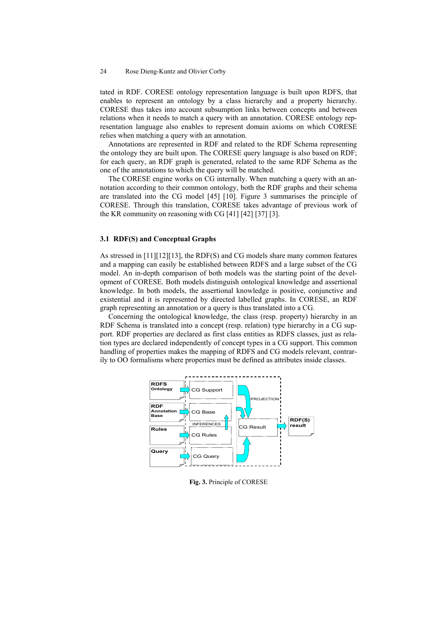tated in RDF. CORESE ontology representation language is built upon RDFS, that enables to represent an ontology by a class hierarchy and a property hierarchy. CORESE thus takes into account subsumption links between concepts and between relations when it needs to match a query with an annotation. CORESE ontology representation language also enables to represent domain axioms on which CORESE relies when matching a query with an annotation.

Annotations are represented in RDF and related to the RDF Schema representing the ontology they are built upon. The CORESE query language is also based on RDF; for each query, an RDF graph is generated, related to the same RDF Schema as the one of the annotations to which the query will be matched.

The CORESE engine works on CG internally. When matching a query with an annotation according to their common ontology, both the RDF graphs and their schema are translated into the CG model [45] [10]. Figure 3 summarises the principle of CORESE. Through this translation, CORESE takes advantage of previous work of the KR community on reasoning with CG [41] [42] [37] [3].

### **3.1 RDF(S) and Conceptual Graphs**

As stressed in [11][12][13], the RDF(S) and CG models share many common features and a mapping can easily be established between RDFS and a large subset of the CG model. An in-depth comparison of both models was the starting point of the development of CORESE. Both models distinguish ontological knowledge and assertional knowledge. In both models, the assertional knowledge is positive, conjunctive and existential and it is represented by directed labelled graphs. In CORESE, an RDF graph representing an annotation or a query is thus translated into a CG.

Concerning the ontological knowledge, the class (resp. property) hierarchy in an RDF Schema is translated into a concept (resp. relation) type hierarchy in a CG support. RDF properties are declared as first class entities as RDFS classes, just as relation types are declared independently of concept types in a CG support. This common handling of properties makes the mapping of RDFS and CG models relevant, contrarily to OO formalisms where properties must be defined as attributes inside classes.



**Fig. 3.** Principle of CORESE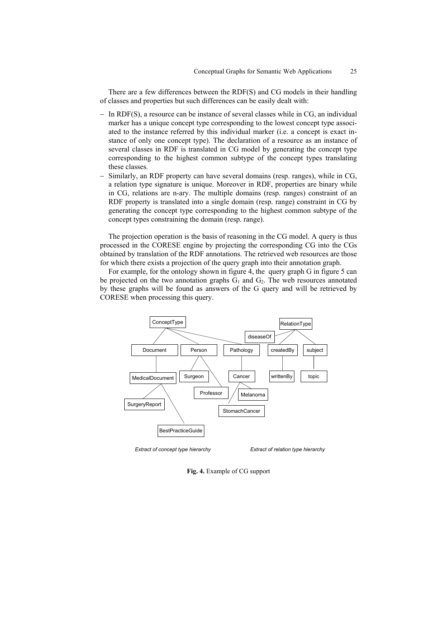There are a few differences between the RDF(S) and CG models in their handling of classes and properties but such differences can be easily dealt with:

- − In RDF(S), a resource can be instance of several classes while in CG, an individual marker has a unique concept type corresponding to the lowest concept type associated to the instance referred by this individual marker (i.e. a concept is exact instance of only one concept type). The declaration of a resource as an instance of several classes in RDF is translated in CG model by generating the concept type corresponding to the highest common subtype of the concept types translating these classes.
- Similarly, an RDF property can have several domains (resp. ranges), while in CG, a relation type signature is unique. Moreover in RDF, properties are binary while in CG, relations are n-ary. The multiple domains (resp. ranges) constraint of an RDF property is translated into a single domain (resp. range) constraint in CG by generating the concept type corresponding to the highest common subtype of the concept types constraining the domain (resp. range).

The projection operation is the basis of reasoning in the CG model. A query is thus processed in the CORESE engine by projecting the corresponding CG into the CGs obtained by translation of the RDF annotations. The retrieved web resources are those for which there exists a projection of the query graph into their annotation graph.

For example, for the ontology shown in figure 4, the query graph G in figure 5 can be projected on the two annotation graphs  $G_1$  and  $G_2$ . The web resources annotated by these graphs will be found as answers of the G query and will be retrieved by CORESE when processing this query.



*Extract of concept type hierarchy Extract of relation type hierarchy*

 **Fig. 4.** Example of CG support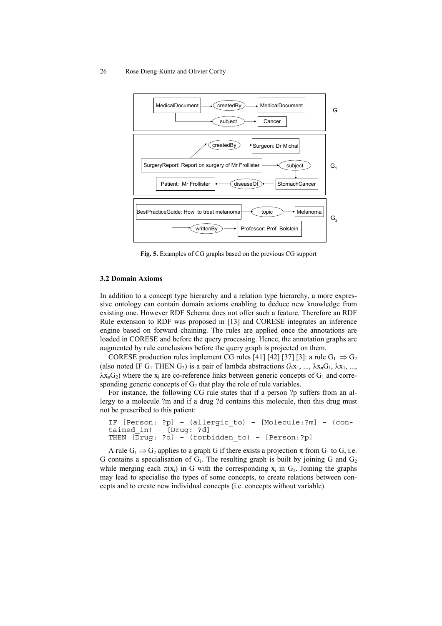

**Fig. 5.** Examples of CG graphs based on the previous CG support

#### **3.2 Domain Axioms**

In addition to a concept type hierarchy and a relation type hierarchy, a more expressive ontology can contain domain axioms enabling to deduce new knowledge from existing one. However RDF Schema does not offer such a feature. Therefore an RDF Rule extension to RDF was proposed in [13] and CORESE integrates an inference engine based on forward chaining. The rules are applied once the annotations are loaded in CORESE and before the query processing. Hence, the annotation graphs are augmented by rule conclusions before the query graph is projected on them.

CORESE production rules implement CG rules [41] [42] [37] [3]: a rule  $G_1 \Rightarrow G_2$ (also noted IF G<sub>1</sub> THEN G<sub>2</sub>) is a pair of lambda abstractions ( $\lambda x_1$ , ...,  $\lambda x_n G_1$ ,  $\lambda x_1$ , ...,  $\lambda x_n G_2$ ) where the x<sub>i</sub> are co-reference links between generic concepts of  $G_1$  and corresponding generic concepts of  $G_2$  that play the role of rule variables.

For instance, the following CG rule states that if a person ?p suffers from an allergy to a molecule ?m and if a drug ?d contains this molecule, then this drug must not be prescribed to this patient:

```
IF [Person: ?p] – (allergic_to) – [Molecule:?m] – (con-
tained in) – [Drug: ?d]THEN [Drug: ?d] – (forbidden to) – [Person:?p]
```
A rule  $G_1 \Rightarrow G_2$  applies to a graph G if there exists a projection  $\pi$  from  $G_1$  to  $G$ , i.e. G contains a specialisation of  $G_1$ . The resulting graph is built by joining G and  $G_2$ while merging each  $\pi(x_i)$  in G with the corresponding  $x_i$  in G<sub>2</sub>. Joining the graphs may lead to specialise the types of some concepts, to create relations between concepts and to create new individual concepts (i.e. concepts without variable).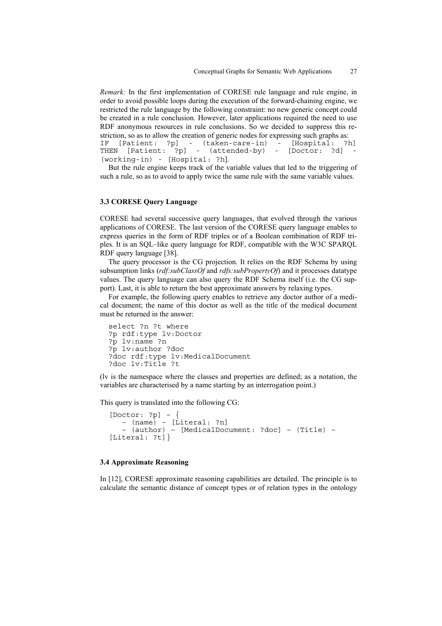*Remark:* In the first implementation of CORESE rule language and rule engine, in order to avoid possible loops during the execution of the forward-chaining engine, we restricted the rule language by the following constraint: no new generic concept could be created in a rule conclusion. However, later applications required the need to use RDF anonymous resources in rule conclusions. So we decided to suppress this restriction, so as to allow the creation of generic nodes for expressing such graphs as: IF [Patient: ?p] - (taken-care-in) - [Hospital: ?h] THEN [Patient: ?p] - (attended-by) - [Doctor: ?d] (working-in) - [Hospital: ?h].

But the rule engine keeps track of the variable values that led to the triggering of such a rule, so as to avoid to apply twice the same rule with the same variable values.

#### **3.3 CORESE Query Language**

CORESE had several successive query languages, that evolved through the various applications of CORESE. The last version of the CORESE query language enables to express queries in the form of RDF triples or of a Boolean combination of RDF triples. It is an SQL–like query language for RDF, compatible with the W3C SPARQL RDF query language [38].

The query processor is the CG projection. It relies on the RDF Schema by using subsumption links (*rdf:subClassOf* and *rdfs:subPropertyOf*) and it processes datatype values. The query language can also query the RDF Schema itself (i.e. the CG support). Last, it is able to return the best approximate answers by relaxing types.

For example, the following query enables to retrieve any doctor author of a medical document; the name of this doctor as well as the title of the medical document must be returned in the answer:

```
select ?n ?t where 
?p rdf:type lv:Doctor 
?p lv:name ?n 
?p lv:author ?doc 
?doc rdf:type lv:MedicalDocument 
?doc lv:Title ?t
```
(lv is the namespace where the classes and properties are defined; as a notation, the variables are characterised by a name starting by an interrogation point.)

This query is translated into the following CG:

```
[Doctor: ?p] – { 
    – (name) – [Literal: ?n] 
    – (author) – [MedicalDocument: ?doc] – (Title) – 
[Literal: ?t]}
```
#### **3.4 Approximate Reasoning**

In [12], CORESE approximate reasoning capabilities are detailed. The principle is to calculate the semantic distance of concept types or of relation types in the ontology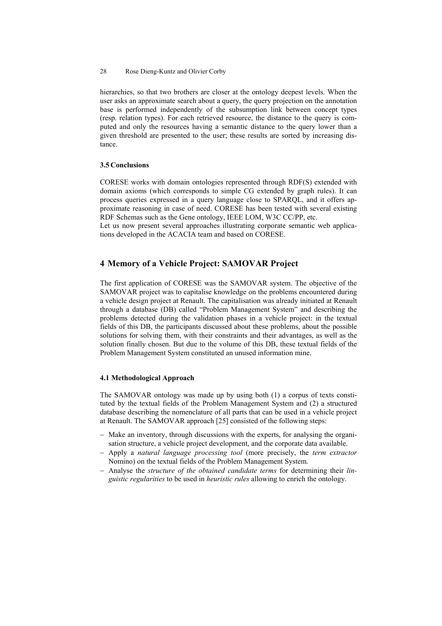hierarchies, so that two brothers are closer at the ontology deepest levels. When the user asks an approximate search about a query, the query projection on the annotation base is performed independently of the subsumption link between concept types (resp. relation types). For each retrieved resource, the distance to the query is computed and only the resources having a semantic distance to the query lower than a given threshold are presented to the user; these results are sorted by increasing distance.

#### **3.5 Conclusions**

CORESE works with domain ontologies represented through RDF(S) extended with domain axioms (which corresponds to simple CG extended by graph rules). It can process queries expressed in a query language close to SPARQL, and it offers approximate reasoning in case of need. CORESE has been tested with several existing RDF Schemas such as the Gene ontology, IEEE LOM, W3C CC/PP, etc.

Let us now present several approaches illustrating corporate semantic web applications developed in the ACACIA team and based on CORESE.

# **4 Memory of a Vehicle Project: SAMOVAR Project**

The first application of CORESE was the SAMOVAR system. The objective of the SAMOVAR project was to capitalise knowledge on the problems encountered during a vehicle design project at Renault. The capitalisation was already initiated at Renault through a database (DB) called "Problem Management System" and describing the problems detected during the validation phases in a vehicle project: in the textual fields of this DB, the participants discussed about these problems, about the possible solutions for solving them, with their constraints and their advantages, as well as the solution finally chosen. But due to the volume of this DB, these textual fields of the Problem Management System constituted an unused information mine.

#### **4.1 Methodological Approach**

The SAMOVAR ontology was made up by using both (1) a corpus of texts constituted by the textual fields of the Problem Management System and (2) a structured database describing the nomenclature of all parts that can be used in a vehicle project at Renault. The SAMOVAR approach [25] consisted of the following steps:

- − Make an inventory, through discussions with the experts, for analysing the organisation structure, a vehicle project development, and the corporate data available.
- − Apply a *natural language processing tool* (more precisely, the *term extractor* Nomino) on the textual fields of the Problem Management System.
- − Analyse the *structure of the obtained candidate terms* for determining their *linguistic regularities* to be used in *heuristic rules* allowing to enrich the ontology.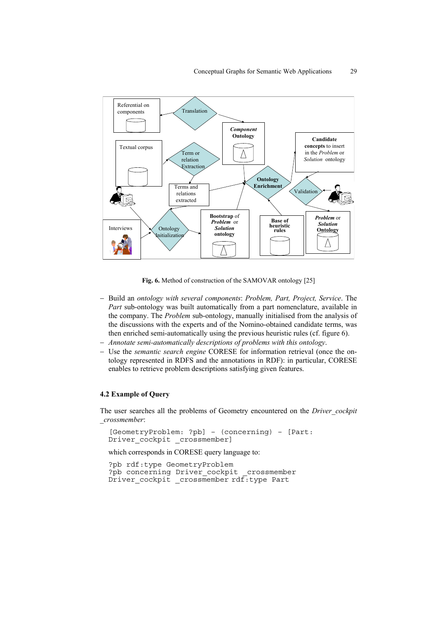

**Fig. 6.** Method of construction of the SAMOVAR ontology [25]

- − Build an *ontology with several components*: *Problem, Part, Project, Service*. The *Part* sub-ontology was built automatically from a part nomenclature, available in the company. The *Problem* sub-ontology, manually initialised from the analysis of the discussions with the experts and of the Nomino-obtained candidate terms, was then enriched semi-automatically using the previous heuristic rules (cf. figure 6).
- − *Annotate semi-automatically descriptions of problems with this ontology*.
- − Use the *semantic search engine* CORESE for information retrieval (once the ontology represented in RDFS and the annotations in RDF): in particular, CORESE enables to retrieve problem descriptions satisfying given features.

#### **4.2 Example of Query**

The user searches all the problems of Geometry encountered on the *Driver\_cockpit \_crossmember*:

```
[GeometryProblem: ?pb] – (concerning) – [Part: 
Driver cockpit crossmember]
```
which corresponds in CORESE query language to:

```
?pb rdf:type GeometryProblem 
?pb concerning Driver cockpit crossmember
Driver cockpit crossmember rdf:type Part
```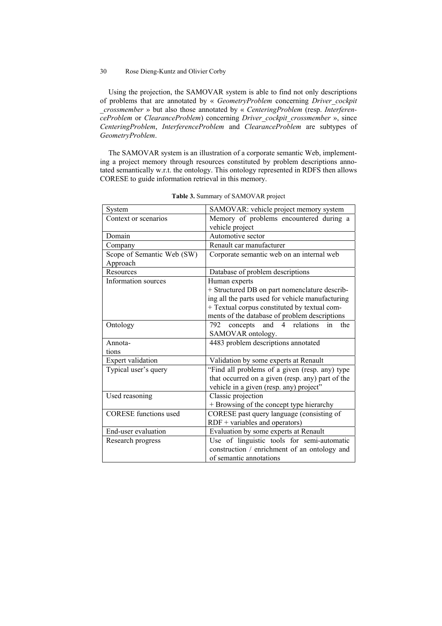Using the projection, the SAMOVAR system is able to find not only descriptions of problems that are annotated by « *GeometryProblem* concerning *Driver\_cockpit \_crossmember* » but also those annotated by « *CenteringProblem* (resp. *InterferenceProblem* or *ClearanceProblem*) concerning *Driver\_cockpit\_crossmember* », since *CenteringProblem*, *InterferenceProblem* and *ClearanceProblem* are subtypes of *GeometryProblem*.

The SAMOVAR system is an illustration of a corporate semantic Web, implementing a project memory through resources constituted by problem descriptions annotated semantically w.r.t. the ontology. This ontology represented in RDFS then allows CORESE to guide information retrieval in this memory.

| System                       | SAMOVAR: vehicle project memory system           |
|------------------------------|--------------------------------------------------|
| Context or scenarios         | Memory of problems encountered during a          |
|                              | vehicle project                                  |
| Domain                       | Automotive sector                                |
| Company                      | Renault car manufacturer                         |
| Scope of Semantic Web (SW)   | Corporate semantic web on an internal web        |
| Approach                     |                                                  |
| Resources                    | Database of problem descriptions                 |
| Information sources          | Human experts                                    |
|                              | + Structured DB on part nomenclature describ-    |
|                              | ing all the parts used for vehicle manufacturing |
|                              | + Textual corpus constituted by textual com-     |
|                              | ments of the database of problem descriptions    |
| Ontology                     | and 4 relations<br>792<br>concepts<br>in<br>the  |
|                              | SAMOVAR ontology.                                |
| Annota-                      | 4483 problem descriptions annotated              |
| tions                        |                                                  |
| <b>Expert validation</b>     | Validation by some experts at Renault            |
| Typical user's query         | "Find all problems of a given (resp. any) type   |
|                              | that occurred on a given (resp. any) part of the |
|                              | vehicle in a given (resp. any) project"          |
| Used reasoning               | Classic projection                               |
|                              | + Browsing of the concept type hierarchy         |
| <b>CORESE</b> functions used | CORESE past query language (consisting of        |
|                              | $RDF + variables$ and operators)                 |
| End-user evaluation          | Evaluation by some experts at Renault            |
| Research progress            | Use of linguistic tools for semi-automatic       |
|                              | construction / enrichment of an ontology and     |
|                              | of semantic annotations                          |

**Table 3.** Summary of SAMOVAR project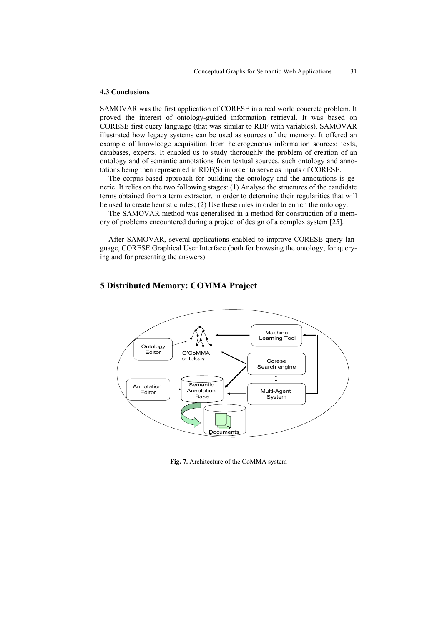#### **4.3 Conclusions**

SAMOVAR was the first application of CORESE in a real world concrete problem. It proved the interest of ontology-guided information retrieval. It was based on CORESE first query language (that was similar to RDF with variables). SAMOVAR illustrated how legacy systems can be used as sources of the memory. It offered an example of knowledge acquisition from heterogeneous information sources: texts, databases, experts. It enabled us to study thoroughly the problem of creation of an ontology and of semantic annotations from textual sources, such ontology and annotations being then represented in RDF(S) in order to serve as inputs of CORESE.

The corpus-based approach for building the ontology and the annotations is generic. It relies on the two following stages: (1) Analyse the structures of the candidate terms obtained from a term extractor, in order to determine their regularities that will be used to create heuristic rules; (2) Use these rules in order to enrich the ontology.

The SAMOVAR method was generalised in a method for construction of a memory of problems encountered during a project of design of a complex system [25].

After SAMOVAR, several applications enabled to improve CORESE query language, CORESE Graphical User Interface (both for browsing the ontology, for querying and for presenting the answers).

### **5 Distributed Memory: COMMA Project**



**Fig. 7.** Architecture of the CoMMA system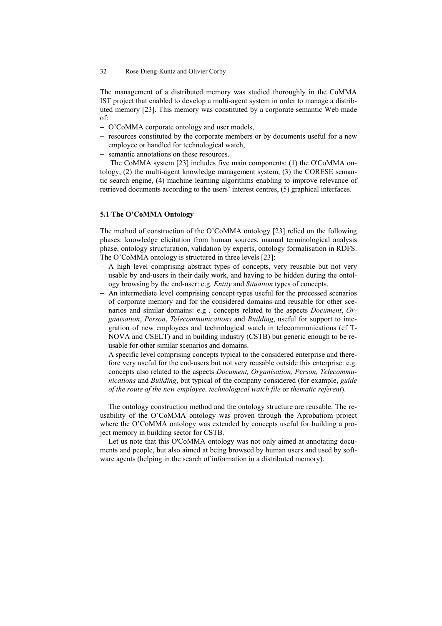The management of a distributed memory was studied thoroughly in the CoMMA IST project that enabled to develop a multi-agent system in order to manage a distributed memory [23]. This memory was constituted by a corporate semantic Web made of:

- − O'CoMMA corporate ontology and user models,
- − resources constituted by the corporate members or by documents useful for a new employee or handled for technological watch,
- − semantic annotations on these resources.

 The CoMMA system [23] includes five main components: (1) the O'CoMMA ontology, (2) the multi-agent knowledge management system, (3) the CORESE semantic search engine, (4) machine learning algorithms enabling to improve relevance of retrieved documents according to the users' interest centres, (5) graphical interfaces.

#### **5.1 The O'CoMMA Ontology**

The method of construction of the O'CoMMA ontology [23] relied on the following phases: knowledge elicitation from human sources, manual terminological analysis phase, ontology structuration, validation by experts, ontology formalisation in RDFS. The O'CoMMA ontology is structured in three levels [23]:

- − A high level comprising abstract types of concepts, very reusable but not very usable by end-users in their daily work, and having to be hidden during the ontology browsing by the end-user: e.g. *Entity* and *Situation* types of concepts.
- − An intermediate level comprising concept types useful for the processed scenarios of corporate memory and for the considered domains and reusable for other scenarios and similar domains: e.g . concepts related to the aspects *Document*, *Organisation*, *Person*, *Telecommunications* and *Building*, useful for support to integration of new employees and technological watch in telecommunications (cf T-NOVA and CSELT) and in building industry (CSTB) but generic enough to be reusable for other similar scenarios and domains.
- − A specific level comprising concepts typical to the considered enterprise and therefore very useful for the end-users but not very reusable outside this enterprise: e.g. concepts also related to the aspects *Document, Organisation, Person, Telecommunications* and *Building*, but typical of the company considered (for example, *guide of the route of the new employee, technological watch file* or *thematic referent*).

The ontology construction method and the ontology structure are reusable. The reusability of the O'CoMMA ontology was proven through the Aprobatiom project where the O'CoMMA ontology was extended by concepts useful for building a project memory in building sector for CSTB.

Let us note that this O'CoMMA ontology was not only aimed at annotating documents and people, but also aimed at being browsed by human users and used by software agents (helping in the search of information in a distributed memory).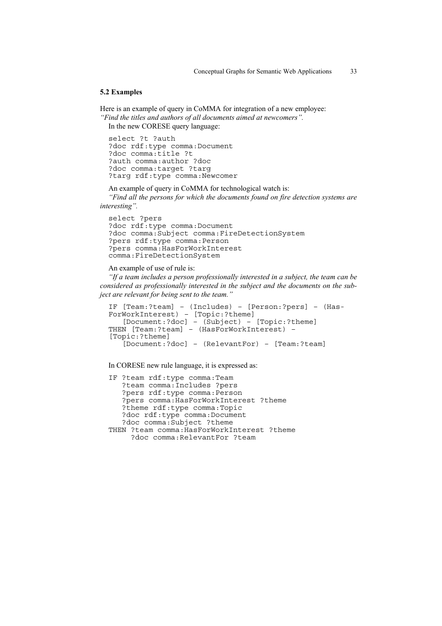#### **5.2 Examples**

Here is an example of query in CoMMA for integration of a new employee: *"Find the titles and authors of all documents aimed at newcomers".* 

In the new CORESE query language:

select ?t ?auth ?doc rdf:type comma:Document ?doc comma:title ?t ?auth comma:author ?doc ?doc comma:target ?targ ?targ rdf:type comma:Newcomer

An example of query in CoMMA for technological watch is:

*"Find all the persons for which the documents found on fire detection systems are interesting".* 

```
select ?pers 
?doc rdf: type comma: Document
?doc comma:Subject comma:FireDetectionSystem 
?pers rdf:type comma:Person 
?pers comma:HasForWorkInterest 
comma:FireDetectionSystem
```
#### An example of use of rule is:

*"If a team includes a person professionally interested in a subject, the team can be considered as professionally interested in the subject and the documents on the subject are relevant for being sent to the team."* 

```
IF [Team:?team] – (Includes) – [Person:?pers] – (Has-
ForWorkInterest) – [Topic:?theme] 
 [Document:?doc] – (Subject) – [Topic:?theme] 
THEN [Team:?team] – (HasForWorkInterest) – 
[Topic:?theme] 
    [Document:?doc] – (RelevantFor) – [Team:?team]
```
In CORESE new rule language, it is expressed as:

```
IF ?team rdf:type comma:Team 
    ?team comma:Includes ?pers 
    ?pers rdf:type comma:Person 
    ?pers comma:HasForWorkInterest ?theme 
    ?theme rdf:type comma:Topic 
    ?doc rdf:type comma:Document 
    ?doc comma:Subject ?theme 
THEN ?team comma:HasForWorkInterest ?theme 
      ?doc comma:RelevantFor ?team
```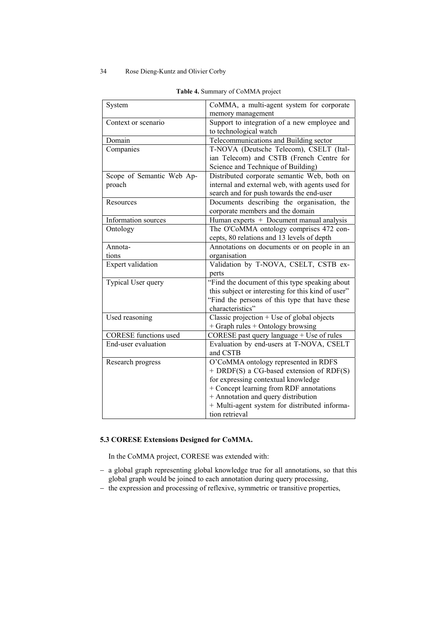| System                       | CoMMA, a multi-agent system for corporate<br>memory management |
|------------------------------|----------------------------------------------------------------|
| Context or scenario          | Support to integration of a new employee and                   |
|                              | to technological watch                                         |
| Domain                       | Telecommunications and Building sector                         |
|                              |                                                                |
| Companies                    | T-NOVA (Deutsche Telecom), CSELT (Ital-                        |
|                              | ian Telecom) and CSTB (French Centre for                       |
|                              | Science and Technique of Building)                             |
| Scope of Semantic Web Ap-    | Distributed corporate semantic Web, both on                    |
| proach                       | internal and external web, with agents used for                |
|                              | search and for push towards the end-user                       |
| Resources                    | Documents describing the organisation, the                     |
|                              | corporate members and the domain                               |
| Information sources          | Human experts + Document manual analysis                       |
| Ontology                     | The O'CoMMA ontology comprises 472 con-                        |
|                              | cepts, 80 relations and 13 levels of depth                     |
| Annota-                      | Annotations on documents or on people in an                    |
| tions                        | organisation                                                   |
| <b>Expert validation</b>     | Validation by T-NOVA, CSELT, CSTB ex-                          |
|                              | perts                                                          |
| Typical User query           | "Find the document of this type speaking about                 |
|                              | this subject or interesting for this kind of user"             |
|                              | "Find the persons of this type that have these                 |
|                              | characteristics"                                               |
| Used reasoning               | Classic projection $+$ Use of global objects                   |
|                              | + Graph rules + Ontology browsing                              |
| <b>CORESE</b> functions used | CORESE past query language + Use of rules                      |
| End-user evaluation          | Evaluation by end-users at T-NOVA, CSELT                       |
|                              | and CSTB                                                       |
| Research progress            | O'CoMMA ontology represented in RDFS                           |
|                              | + DRDF(S) a CG-based extension of RDF(S)                       |
|                              | for expressing contextual knowledge                            |
|                              | + Concept learning from RDF annotations                        |
|                              | + Annotation and query distribution                            |
|                              | + Multi-agent system for distributed informa-                  |
|                              | tion retrieval                                                 |

### **Table 4.** Summary of CoMMA project

### **5.3 CORESE Extensions Designed for CoMMA.**

In the CoMMA project, CORESE was extended with:

- − a global graph representing global knowledge true for all annotations, so that this global graph would be joined to each annotation during query processing,
- − the expression and processing of reflexive, symmetric or transitive properties,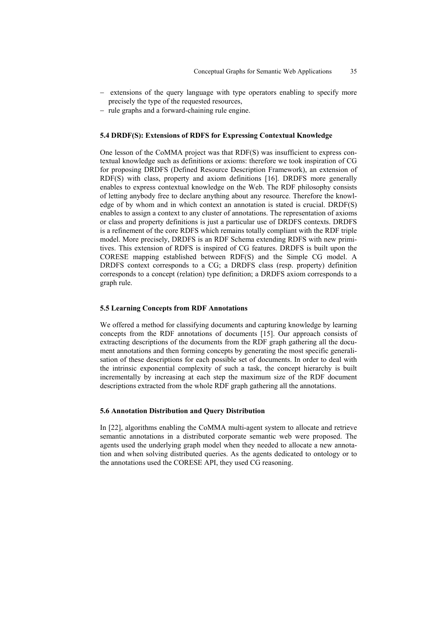- − extensions of the query language with type operators enabling to specify more precisely the type of the requested resources,
- − rule graphs and a forward-chaining rule engine.

#### **5.4 DRDF(S): Extensions of RDFS for Expressing Contextual Knowledge**

One lesson of the CoMMA project was that RDF(S) was insufficient to express contextual knowledge such as definitions or axioms: therefore we took inspiration of CG for proposing DRDFS (Defined Resource Description Framework), an extension of RDF(S) with class, property and axiom definitions [16]. DRDFS more generally enables to express contextual knowledge on the Web. The RDF philosophy consists of letting anybody free to declare anything about any resource. Therefore the knowledge of by whom and in which context an annotation is stated is crucial. DRDF(S) enables to assign a context to any cluster of annotations. The representation of axioms or class and property definitions is just a particular use of DRDFS contexts. DRDFS is a refinement of the core RDFS which remains totally compliant with the RDF triple model. More precisely, DRDFS is an RDF Schema extending RDFS with new primitives. This extension of RDFS is inspired of CG features. DRDFS is built upon the CORESE mapping established between RDF(S) and the Simple CG model. A DRDFS context corresponds to a CG; a DRDFS class (resp. property) definition corresponds to a concept (relation) type definition; a DRDFS axiom corresponds to a graph rule.

#### **5.5 Learning Concepts from RDF Annotations**

We offered a method for classifying documents and capturing knowledge by learning concepts from the RDF annotations of documents [15]. Our approach consists of extracting descriptions of the documents from the RDF graph gathering all the document annotations and then forming concepts by generating the most specific generalisation of these descriptions for each possible set of documents. In order to deal with the intrinsic exponential complexity of such a task, the concept hierarchy is built incrementally by increasing at each step the maximum size of the RDF document descriptions extracted from the whole RDF graph gathering all the annotations.

### **5.6 Annotation Distribution and Query Distribution**

In [22], algorithms enabling the CoMMA multi-agent system to allocate and retrieve semantic annotations in a distributed corporate semantic web were proposed. The agents used the underlying graph model when they needed to allocate a new annotation and when solving distributed queries. As the agents dedicated to ontology or to the annotations used the CORESE API, they used CG reasoning.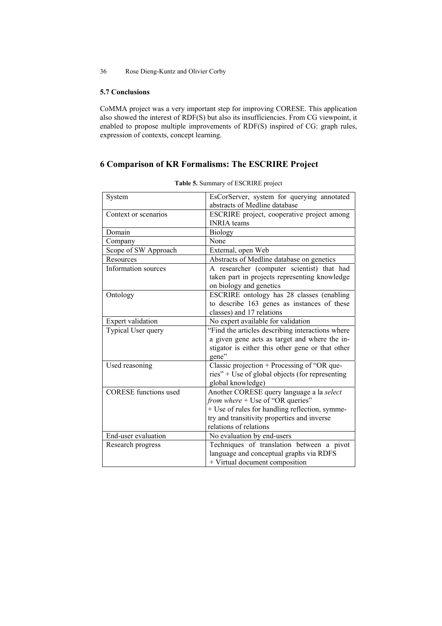### **5.7 Conclusions**

CoMMA project was a very important step for improving CORESE. This application also showed the interest of RDF(S) but also its insufficiencies. From CG viewpoint, it enabled to propose multiple improvements of RDF(S) inspired of CG: graph rules, expression of contexts, concept learning.

# **6 Comparison of KR Formalisms: The ESCRIRE Project**

| System                       | EsCorServer, system for querying annotated       |
|------------------------------|--------------------------------------------------|
|                              | abstracts of Medline database                    |
| Context or scenarios         | ESCRIRE project, cooperative project among       |
|                              | <b>INRIA</b> teams                               |
| Domain                       | <b>Biology</b>                                   |
| Company                      | None                                             |
| Scope of SW Approach         | External, open Web                               |
| Resources                    | Abstracts of Medline database on genetics        |
| Information sources          | A researcher (computer scientist) that had       |
|                              | taken part in projects representing knowledge    |
|                              | on biology and genetics                          |
| Ontology                     | ESCRIRE ontology has 28 classes (enabling        |
|                              | to describe 163 genes as instances of these      |
|                              | classes) and 17 relations                        |
| Expert validation            | No expert available for validation               |
| Typical User query           | "Find the articles describing interactions where |
|                              | a given gene acts as target and where the in-    |
|                              | stigator is either this other gene or that other |
|                              | gene"                                            |
| Used reasoning               | Classic projection + Processing of "OR que-      |
|                              | ries" + Use of global objects (for representing  |
|                              | global knowledge)                                |
| <b>CORESE</b> functions used | Another CORESE query language a la select        |
|                              | from where + Use of "OR queries"                 |
|                              | + Use of rules for handling reflection, symme-   |
|                              | try and transitivity properties and inverse      |
|                              | relations of relations                           |
| End-user evaluation          | No evaluation by end-users                       |
| Research progress            | Techniques of translation between a pivot        |
|                              | language and conceptual graphs via RDFS          |
|                              | + Virtual document composition                   |
|                              |                                                  |

**Table 5.** Summary of ESCRIRE project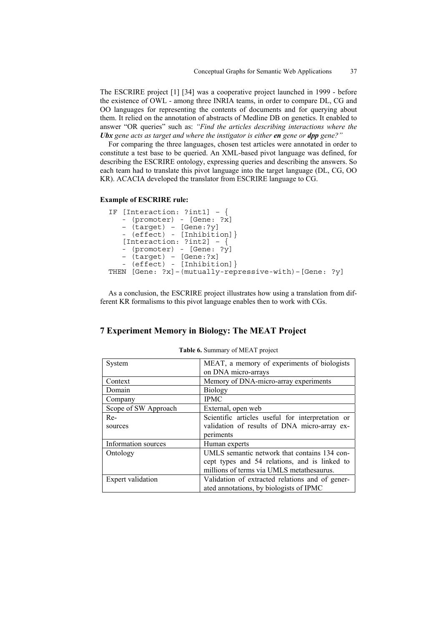The ESCRIRE project [1] [34] was a cooperative project launched in 1999 - before the existence of OWL - among three INRIA teams, in order to compare DL, CG and OO languages for representing the contents of documents and for querying about them. It relied on the annotation of abstracts of Medline DB on genetics. It enabled to answer "OR queries" such as: *"Find the articles describing interactions where the Ubx* gene acts as target and where the instigator is either *en* gene or *dpp* gene?"

For comparing the three languages, chosen test articles were annotated in order to constitute a test base to be queried. An XML-based pivot language was defined, for describing the ESCRIRE ontology, expressing queries and describing the answers. So each team had to translate this pivot language into the target language (DL, CG, OO KR). ACACIA developed the translator from ESCRIRE language to CG.

#### **Example of ESCRIRE rule:**

```
IF [Interaction: ?int1] – { 
    - (promoter) - [Gene: ?x] 
    – (target) – [Gene:?y] 
    - (effect) - [Inhibition]} 
 [Interaction: ?int2] – { 
 - (promoter) - [Gene: ?y] 
    – (target) – [Gene:?x] 
    - (effect) - [Inhibition]} 
THEN [Gene: ?x]–(mutually-repressive-with)–[Gene: ?y]
```
As a conclusion, the ESCRIRE project illustrates how using a translation from different KR formalisms to this pivot language enables then to work with CGs.

### **7 Experiment Memory in Biology: The MEAT Project**

| System                   | MEAT, a memory of experiments of biologists      |
|--------------------------|--------------------------------------------------|
|                          | on DNA micro-arrays                              |
| Context                  | Memory of DNA-micro-array experiments            |
| Domain                   | <b>Biology</b>                                   |
| Company                  | <b>IPMC</b>                                      |
| Scope of SW Approach     | External, open web                               |
| $Re-$                    | Scientific articles useful for interpretation or |
| sources                  | validation of results of DNA micro-array ex-     |
|                          | periments                                        |
| Information sources      | Human experts                                    |
| Ontology                 | UMLS semantic network that contains 134 con-     |
|                          | cept types and 54 relations, and is linked to    |
|                          | millions of terms via UMLS metathesaurus.        |
| <b>Expert validation</b> | Validation of extracted relations and of gener-  |
|                          | ated annotations, by biologists of IPMC          |

| <b>Table 6.</b> Summary of MEAT project |  |  |  |  |  |
|-----------------------------------------|--|--|--|--|--|
|-----------------------------------------|--|--|--|--|--|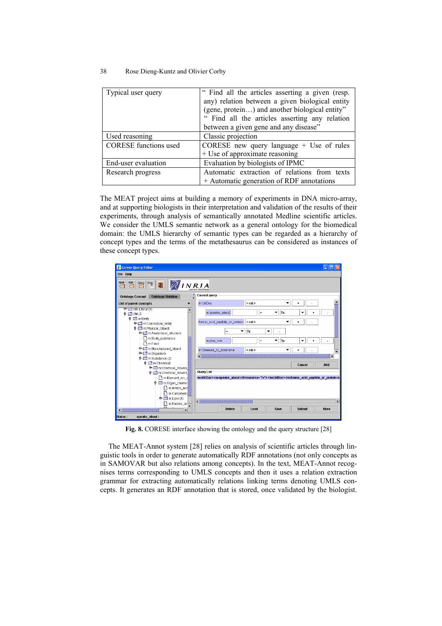| Typical user query           | " Find all the articles asserting a given (resp.<br>any) relation between a given biological entity<br>(gene, protein) and another biological entity"<br>" Find all the articles asserting any relation<br>between a given gene and any disease" |
|------------------------------|--------------------------------------------------------------------------------------------------------------------------------------------------------------------------------------------------------------------------------------------------|
| Used reasoning               | Classic projection                                                                                                                                                                                                                               |
| <b>CORESE</b> functions used | CORESE new query language $+$ Use of rules                                                                                                                                                                                                       |
|                              | + Use of approximate reasoning                                                                                                                                                                                                                   |
| End-user evaluation          | Evaluation by biologists of IPMC                                                                                                                                                                                                                 |
| Research progress            | Automatic extraction of relations from texts                                                                                                                                                                                                     |
|                              | + Automatic generation of RDF annotations                                                                                                                                                                                                        |

The MEAT project aims at building a memory of experiments in DNA micro-array, and at supporting biologists in their interpretation and validation of the results of their experiments, through analysis of semantically annotated Medline scientific articles. We consider the UMLS semantic network as a general ontology for the biomedical domain: the UMLS hierarchy of semantic types can be regarded as a hierarchy of concept types and the terms of the metathesaurus can be considered as instances of these concept types.



**Fig. 8.** CORESE interface showing the ontology and the query structure [28]

The MEAT-Annot system [28] relies on analysis of scientific articles through linguistic tools in order to generate automatically RDF annotations (not only concepts as in SAMOVAR but also relations among concepts). In the text, MEAT-Annot recognises terms corresponding to UMLS concepts and then it uses a relation extraction grammar for extracting automatically relations linking terms denoting UMLS concepts. It generates an RDF annotation that is stored, once validated by the biologist.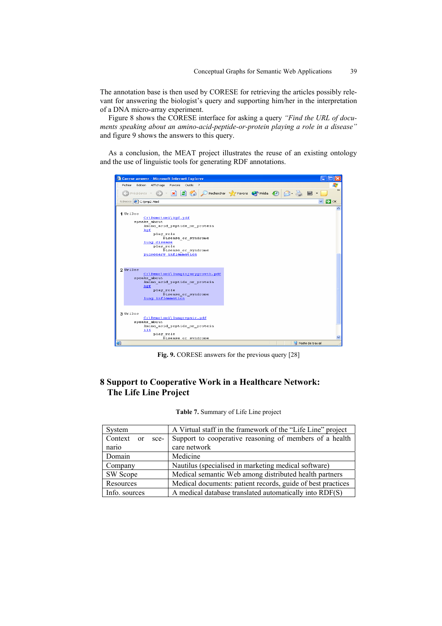The annotation base is then used by CORESE for retrieving the articles possibly relevant for answering the biologist's query and supporting him/her in the interpretation of a DNA micro-array experiment.

Figure 8 shows the CORESE interface for asking a query *"Find the URL of documents speaking about an amino-acid-peptide-or-protein playing a role in a disease"* and figure 9 shows the answers to this query.

As a conclusion, the MEAT project illustrates the reuse of an existing ontology and the use of linguistic tools for generating RDF annotations.

| <b>2</b> Corese answer - Microsoft Internet Explorer                                                                                                                                                                                           |                  |
|------------------------------------------------------------------------------------------------------------------------------------------------------------------------------------------------------------------------------------------------|------------------|
| Affichage Favoris Outils ?<br>Fichier<br>Edition                                                                                                                                                                                               |                  |
| O Rechercher Cravoris C Média @ 3 - 3 M -<br> z <br>$ \boldsymbol{\mathsf{x}} $<br>Précédente -                                                                                                                                                | $\rightarrow$    |
| Adresse #1 C:\tmp2.html                                                                                                                                                                                                                        | $\vee$ $\Box$ ok |
| 1 UriDoc<br>$C:\Delta \text{N} \times \text{N} \times \text{C}$ .pdf<br>speaks about<br>Amino acid peptide or protein<br>kgf<br>play role<br>Disease or syndrome<br>lung disease<br>play role<br>Disease or syndrome<br>pulmonary inflammation |                  |
| 2 UriDoc<br>C:\Demo\xml\lunginjurygrowth.pdf<br>speaks about<br>Amino acid peptide or protein<br>hgf<br>play role<br>Disease or syndrome<br>lung inflammation                                                                                  |                  |
| 3 UriDoc<br>C:\Demo\xml\lungrepair.pdf<br>speaks about<br>Amino acid peptide or protein<br>i16<br>play role<br>Disease or syndrome                                                                                                             |                  |
| 画                                                                                                                                                                                                                                              | Poste de travail |

Fig. 9. CORESE answers for the previous query [28]

# **8 Support to Cooperative Work in a Healthcare Network: The Life Line Project**

| System                      | A Virtual staff in the framework of the "Life Line" project |
|-----------------------------|-------------------------------------------------------------|
| Context<br>$\alpha$<br>sce- | Support to cooperative reasoning of members of a health     |
| nario                       | care network                                                |
| Domain                      | Medicine                                                    |
| Company                     | Nautilus (specialised in marketing medical software)        |
| SW Scope                    | Medical semantic Web among distributed health partners      |
| Resources                   | Medical documents: patient records, guide of best practices |
| Info. sources               | A medical database translated automatically into RDF(S)     |

**Table 7.** Summary of Life Line project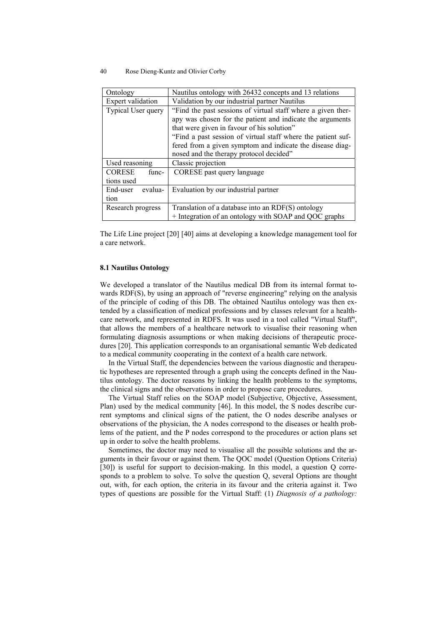| Ontology                 | Nautilus ontology with 26432 concepts and 13 relations       |
|--------------------------|--------------------------------------------------------------|
| <b>Expert</b> validation | Validation by our industrial partner Nautilus                |
| Typical User query       | "Find the past sessions of virtual staff where a given ther- |
|                          | apy was chosen for the patient and indicate the arguments    |
|                          | that were given in favour of his solution"                   |
|                          | "Find a past session of virtual staff where the patient suf- |
|                          | fered from a given symptom and indicate the disease diag-    |
|                          | nosed and the therapy protocol decided"                      |
| Used reasoning           | Classic projection                                           |
| <b>CORESE</b><br>func-   | CORESE past query language                                   |
| tions used               |                                                              |
| End-user<br>evalua-      | Evaluation by our industrial partner                         |
| tion                     |                                                              |
| Research progress        | Translation of a database into an RDF(S) ontology            |
|                          | + Integration of an ontology with SOAP and QOC graphs        |

The Life Line project [20] [40] aims at developing a knowledge management tool for a care network.

#### **8.1 Nautilus Ontology**

We developed a translator of the Nautilus medical DB from its internal format towards RDF(S), by using an approach of "reverse engineering" relying on the analysis of the principle of coding of this DB. The obtained Nautilus ontology was then extended by a classification of medical professions and by classes relevant for a healthcare network, and represented in RDFS. It was used in a tool called "Virtual Staff", that allows the members of a healthcare network to visualise their reasoning when formulating diagnosis assumptions or when making decisions of therapeutic procedures [20]. This application corresponds to an organisational semantic Web dedicated to a medical community cooperating in the context of a health care network.

In the Virtual Staff, the dependencies between the various diagnostic and therapeutic hypotheses are represented through a graph using the concepts defined in the Nautilus ontology. The doctor reasons by linking the health problems to the symptoms, the clinical signs and the observations in order to propose care procedures.

The Virtual Staff relies on the SOAP model (Subjective, Objective, Assessment, Plan) used by the medical community [46]. In this model, the S nodes describe current symptoms and clinical signs of the patient, the O nodes describe analyses or observations of the physician, the A nodes correspond to the diseases or health problems of the patient, and the P nodes correspond to the procedures or action plans set up in order to solve the health problems.

Sometimes, the doctor may need to visualise all the possible solutions and the arguments in their favour or against them. The QOC model (Question Options Criteria) [30]) is useful for support to decision-making. In this model, a question Q corresponds to a problem to solve. To solve the question Q, several Options are thought out, with, for each option, the criteria in its favour and the criteria against it. Two types of questions are possible for the Virtual Staff: (1) *Diagnosis of a pathology:*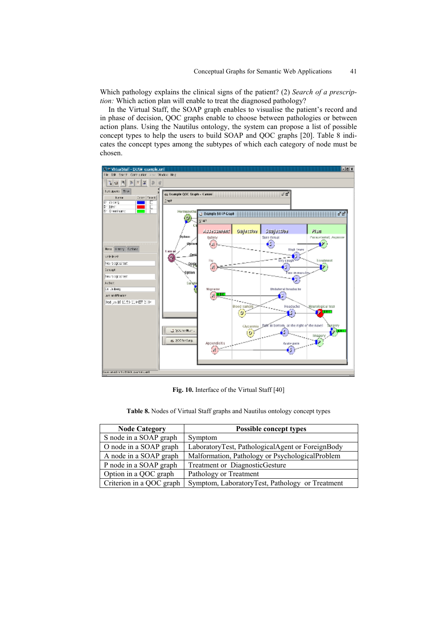Which pathology explains the clinical signs of the patient? (2) *Search of a prescription:* Which action plan will enable to treat the diagnosed pathology?

In the Virtual Staff, the SOAP graph enables to visualise the patient's record and in phase of decision, QOC graphs enable to choose between pathologies or between action plans. Using the Nautilus ontology, the system can propose a list of possible concept types to help the users to build SOAP and QOC graphs [20]. Table 8 indicates the concept types among the subtypes of which each category of node must be chosen.



**Fig. 10.** Interface of the Virtual Staff [40]

**Table 8.** Nodes of Virtual Staff graphs and Nautilus ontology concept types

| <b>Node Category</b>     | <b>Possible concept types</b>                    |
|--------------------------|--------------------------------------------------|
| S node in a SOAP graph   | Symptom                                          |
| O node in a SOAP graph   | LaboratoryTest, PathologicalAgent or ForeignBody |
| A node in a SOAP graph   | Malformation, Pathology or PsychologicalProblem  |
| P node in a SOAP graph   | Treatment or DiagnosticGesture                   |
| Option in a QOC graph    | Pathology or Treatment                           |
| Criterion in a QOC graph | Symptom, LaboratoryTest, Pathology or Treatment  |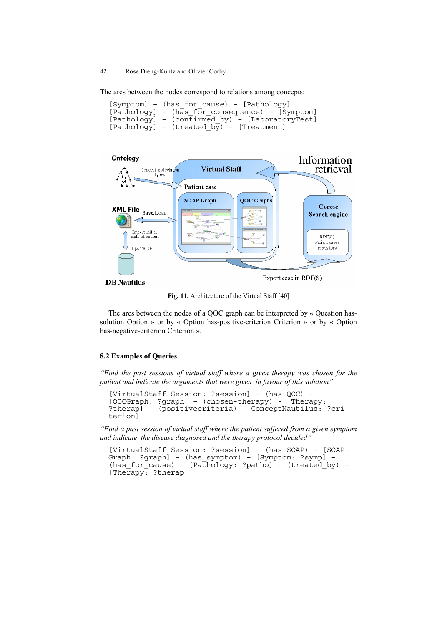The arcs between the nodes correspond to relations among concepts:

```
[Symptom] - (has for cause) - [Pathology]
[Pathology] – (has for consequence) – [Symptom]
[Pathology] – (confirmed_by) – [LaboratoryTest] 
[Pathology] – (treated b\overline{y}) – [Treatment]
```


**Fig. 11.** Architecture of the Virtual Staff [40]

The arcs between the nodes of a QOC graph can be interpreted by « Question hassolution Option » or by « Option has-positive-criterion Criterion » or by « Option has-negative-criterion Criterion ».

#### **8.2 Examples of Queries**

*"Find the past sessions of virtual staff where a given therapy was chosen for the patient and indicate the arguments that were given in favour of this solution"* 

```
[VirtualStaff Session: ?session] – (has-QOC) – 
[QOCGraph: ?graph] – (chosen-therapy) - [Therapy: 
?therap] – (positivecriteria) –[ConceptNautilus: ?cri-
terion]
```
*"Find a past session of virtual staff where the patient suffered from a given symptom and indicate the disease diagnosed and the therapy protocol decided"* 

```
[VirtualStaff Session: ?session] – (has-SOAP) – [SOAP-
Graph: ?graph] – (has_symptom) – [Symptom: ?symp] – 
(has for cause) – [Pathology: ?patho] – (treated by) –
[Therapy: ?therap]
```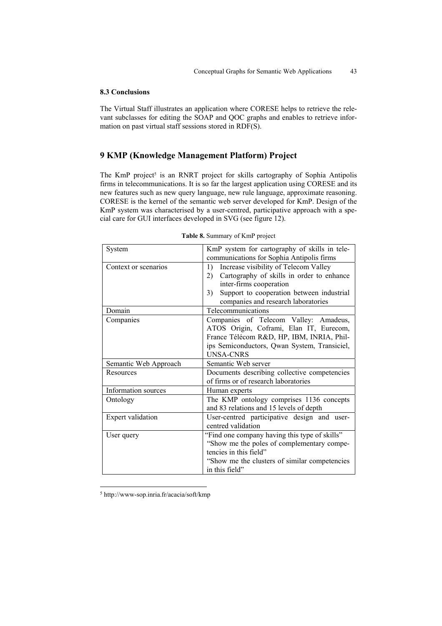#### **8.3 Conclusions**

The Virtual Staff illustrates an application where CORESE helps to retrieve the relevant subclasses for editing the SOAP and QOC graphs and enables to retrieve information on past virtual staff sessions stored in RDF(S).

# **9 KMP (Knowledge Management Platform) Project**

The KmP project<sup>5</sup> is an RNRT project for skills cartography of Sophia Antipolis firms in telecommunications. It is so far the largest application using CORESE and its new features such as new query language, new rule language, approximate reasoning. CORESE is the kernel of the semantic web server developed for KmP. Design of the KmP system was characterised by a user-centred, participative approach with a special care for GUI interfaces developed in SVG (see figure 12).

| System                | KmP system for cartography of skills in tele-   |  |  |
|-----------------------|-------------------------------------------------|--|--|
|                       | communications for Sophia Antipolis firms       |  |  |
| Context or scenarios  | Increase visibility of Telecom Valley<br>1)     |  |  |
|                       | Cartography of skills in order to enhance<br>2) |  |  |
|                       | inter-firms cooperation                         |  |  |
|                       | Support to cooperation between industrial<br>3) |  |  |
|                       | companies and research laboratories             |  |  |
| Domain                | Telecommunications                              |  |  |
| Companies             | Companies of Telecom Valley: Amadeus,           |  |  |
|                       | ATOS Origin, Coframi, Elan IT, Eurecom,         |  |  |
|                       | France Télécom R&D, HP, IBM, INRIA, Phil-       |  |  |
|                       | ips Semiconductors, Qwan System, Transiciel,    |  |  |
|                       | UNSA-CNRS                                       |  |  |
| Semantic Web Approach | Semantic Web server                             |  |  |
| Resources             | Documents describing collective competencies    |  |  |
|                       | of firms or of research laboratories            |  |  |
| Information sources   | Human experts                                   |  |  |
| Ontology              | The KMP ontology comprises 1136 concepts        |  |  |
|                       | and 83 relations and 15 levels of depth         |  |  |
| Expert validation     | User-centred participative design and user-     |  |  |
|                       | centred validation                              |  |  |
| User query            | "Find one company having this type of skills"   |  |  |
|                       | "Show me the poles of complementary compe-      |  |  |
|                       | tencies in this field"                          |  |  |
|                       | "Show me the clusters of similar competencies"  |  |  |
|                       | in this field"                                  |  |  |

|  | Table 8. Summary of KmP project |  |  |
|--|---------------------------------|--|--|
|--|---------------------------------|--|--|

 $\overline{a}$ 

<span id="page-24-0"></span><sup>5</sup> http://www-sop.inria.fr/acacia/soft/kmp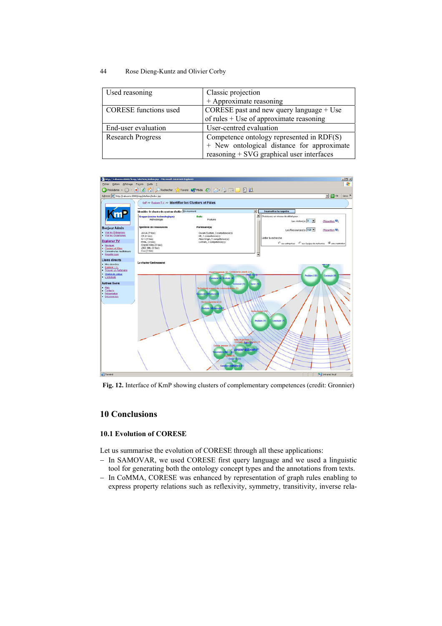| Used reasoning               | Classic projection                         |  |
|------------------------------|--------------------------------------------|--|
|                              | + Approximate reasoning                    |  |
| <b>CORESE</b> functions used | $CORESE$ past and new query language + Use |  |
|                              | of rules $+$ Use of approximate reasoning  |  |
| End-user evaluation          | User-centred evaluation                    |  |
| <b>Research Progress</b>     | Competence ontology represented in RDF(S)  |  |
|                              | + New ontological distance for approximate |  |
|                              | reasoning + SVG graphical user interfaces  |  |



**Fig. 12.** Interface of KmP showing clusters of complementary competences (credit: Gronnier)

## **10 Conclusions**

### **10.1 Evolution of CORESE**

Let us summarise the evolution of CORESE through all these applications:

- − In SAMOVAR, we used CORESE first query language and we used a linguistic tool for generating both the ontology concept types and the annotations from texts.
- − In CoMMA, CORESE was enhanced by representation of graph rules enabling to express property relations such as reflexivity, symmetry, transitivity, inverse rela-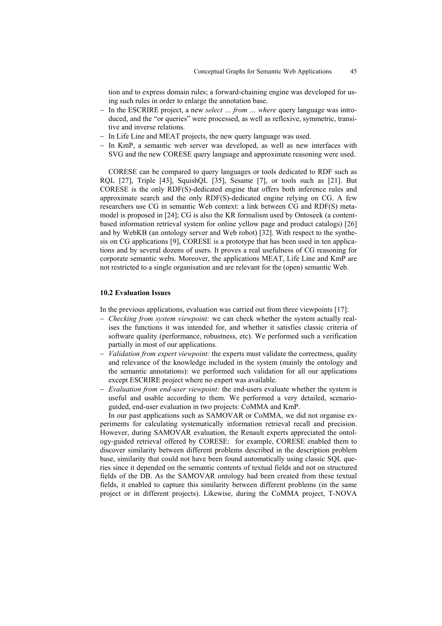tion and to express domain rules; a forward-chaining engine was developed for using such rules in order to enlarge the annotation base.

- − In the ESCRIRE project, a new *select … from … where* query language was introduced, and the "or queries" were processed, as well as reflexive, symmetric, transitive and inverse relations.
- − In Life Line and MEAT projects, the new query language was used.
- − In KmP, a semantic web server was developed, as well as new interfaces with SVG and the new CORESE query language and approximate reasoning were used.

CORESE can be compared to query languages or tools dedicated to RDF such as RQL [27], Triple [43], SquishQL [35], Sesame [7], or tools such as [21]. But CORESE is the only RDF(S)-dedicated engine that offers both inference rules and approximate search and the only RDF(S)-dedicated engine relying on CG. A few researchers use CG in semantic Web context: a link between CG and RDF(S) metamodel is proposed in [24]; CG is also the KR formalism used by Ontoseek (a contentbased information retrieval system for online yellow page and product catalogs) [26] and by WebKB (an ontology server and Web robot) [32]. With respect to the synthesis on CG applications [9], CORESE is a prototype that has been used in ten applications and by several dozens of users. It proves a real usefulness of CG reasoning for corporate semantic webs. Moreover, the applications MEAT, Life Line and KmP are not restricted to a single organisation and are relevant for the (open) semantic Web.

#### **10.2 Evaluation Issues**

In the previous applications, evaluation was carried out from three viewpoints [17]:

- − *Checking from system viewpoint:* we can check whether the system actually realises the functions it was intended for, and whether it satisfies classic criteria of software quality (performance, robustness, etc). We performed such a verification partially in most of our applications.
- − *Validation from expert viewpoint:* the experts must validate the correctness, quality and relevance of the knowledge included in the system (mainly the ontology and the semantic annotations): we performed such validation for all our applications except ESCRIRE project where no expert was available.
- − *Evaluation from end-user viewpoint:* the end-users evaluate whether the system is useful and usable according to them. We performed a very detailed, scenarioguided, end-user evaluation in two projects: CoMMA and KmP.

In our past applications such as SAMOVAR or CoMMA, we did not organise experiments for calculating systematically information retrieval recall and precision. However, during SAMOVAR evaluation, the Renault experts appreciated the ontology-guided retrieval offered by CORESE: for example, CORESE enabled them to discover similarity between different problems described in the description problem base, similarity that could not have been found automatically using classic SQL queries since it depended on the semantic contents of textual fields and not on structured fields of the DB. As the SAMOVAR ontology had been created from these textual fields, it enabled to capture this similarity between different problems (in the same project or in different projects). Likewise, during the CoMMA project, T-NOVA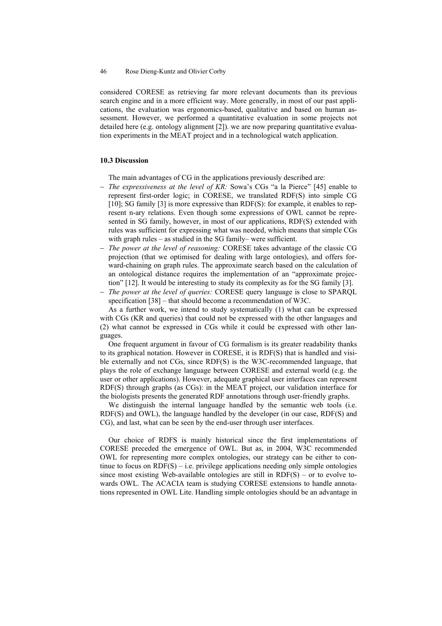considered CORESE as retrieving far more relevant documents than its previous search engine and in a more efficient way. More generally, in most of our past applications, the evaluation was ergonomics-based, qualitative and based on human assessment. However, we performed a quantitative evaluation in some projects not detailed here (e.g. ontology alignment [2]). we are now preparing quantitative evaluation experiments in the MEAT project and in a technological watch application.

### **10.3 Discussion**

The main advantages of CG in the applications previously described are:

- − *The expressiveness at the level of KR:* Sowa's CGs "a la Pierce" [45] enable to represent first-order logic; in CORESE, we translated RDF(S) into simple CG [10]; SG family [3] is more expressive than RDF(S): for example, it enables to represent n-ary relations. Even though some expressions of OWL cannot be represented in SG family, however, in most of our applications, RDF(S) extended with rules was sufficient for expressing what was needed, which means that simple CGs with graph rules – as studied in the SG family– were sufficient.
- − *The power at the level of reasoning:* CORESE takes advantage of the classic CG projection (that we optimised for dealing with large ontologies), and offers forward-chaining on graph rules. The approximate search based on the calculation of an ontological distance requires the implementation of an "approximate projection" [12]. It would be interesting to study its complexity as for the SG family [3].
- − *The power at the level of queries:* CORESE query language is close to SPARQL specification [38] – that should become a recommendation of W3C.

As a further work, we intend to study systematically (1) what can be expressed with CGs (KR and queries) that could not be expressed with the other languages and (2) what cannot be expressed in CGs while it could be expressed with other languages.

One frequent argument in favour of CG formalism is its greater readability thanks to its graphical notation. However in CORESE, it is RDF(S) that is handled and visible externally and not CGs, since RDF(S) is the W3C-recommended language, that plays the role of exchange language between CORESE and external world (e.g. the user or other applications). However, adequate graphical user interfaces can represent RDF(S) through graphs (as CGs): in the MEAT project, our validation interface for the biologists presents the generated RDF annotations through user-friendly graphs.

We distinguish the internal language handled by the semantic web tools (i.e. RDF(S) and OWL), the language handled by the developer (in our case, RDF(S) and CG), and last, what can be seen by the end-user through user interfaces.

Our choice of RDFS is mainly historical since the first implementations of CORESE preceded the emergence of OWL. But as, in 2004, W3C recommended OWL for representing more complex ontologies, our strategy can be either to continue to focus on  $RDF(S) - i.e.$  privilege applications needing only simple ontologies since most existing Web-available ontologies are still in  $RDF(S)$  – or to evolve towards OWL. The ACACIA team is studying CORESE extensions to handle annotations represented in OWL Lite. Handling simple ontologies should be an advantage in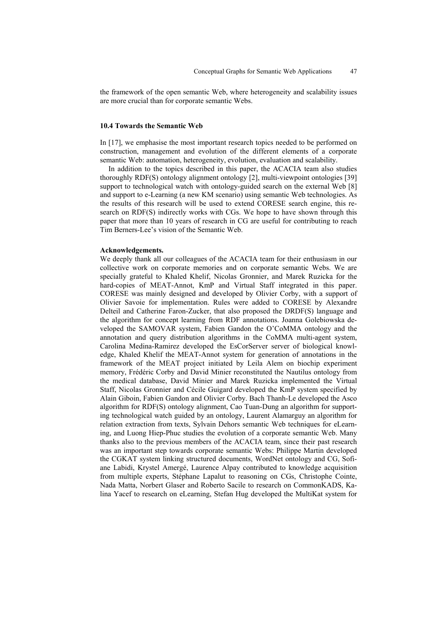the framework of the open semantic Web, where heterogeneity and scalability issues are more crucial than for corporate semantic Webs.

#### **10.4 Towards the Semantic Web**

In [17], we emphasise the most important research topics needed to be performed on construction, management and evolution of the different elements of a corporate semantic Web: automation, heterogeneity, evolution, evaluation and scalability.

In addition to the topics described in this paper, the ACACIA team also studies thoroughly RDF(S) ontology alignment ontology [2], multi-viewpoint ontologies [39] support to technological watch with ontology-guided search on the external Web [8] and support to e-Learning (a new KM scenario) using semantic Web technologies. As the results of this research will be used to extend CORESE search engine, this research on RDF(S) indirectly works with CGs. We hope to have shown through this paper that more than 10 years of research in CG are useful for contributing to reach Tim Berners-Lee's vision of the Semantic Web.

#### **Acknowledgements.**

We deeply thank all our colleagues of the ACACIA team for their enthusiasm in our collective work on corporate memories and on corporate semantic Webs. We are specially grateful to Khaled Khelif, Nicolas Gronnier, and Marek Ruzicka for the hard-copies of MEAT-Annot, KmP and Virtual Staff integrated in this paper. CORESE was mainly designed and developed by Olivier Corby, with a support of Olivier Savoie for implementation. Rules were added to CORESE by Alexandre Delteil and Catherine Faron-Zucker, that also proposed the DRDF(S) language and the algorithm for concept learning from RDF annotations. Joanna Golebiowska developed the SAMOVAR system, Fabien Gandon the O'CoMMA ontology and the annotation and query distribution algorithms in the CoMMA multi-agent system, Carolina Medina-Ramirez developed the EsCorServer server of biological knowledge, Khaled Khelif the MEAT-Annot system for generation of annotations in the framework of the MEAT project initiated by Leila Alem on biochip experiment memory, Frédéric Corby and David Minier reconstituted the Nautilus ontology from the medical database, David Minier and Marek Ruzicka implemented the Virtual Staff, Nicolas Gronnier and Cécile Guigard developed the KmP system specified by Alain Giboin, Fabien Gandon and Olivier Corby. Bach Thanh-Le developed the Asco algorithm for RDF(S) ontology alignment, Cao Tuan-Dung an algorithm for supporting technological watch guided by an ontology, Laurent Alamarguy an algorithm for relation extraction from texts, Sylvain Dehors semantic Web techniques for eLearning, and Luong Hiep-Phuc studies the evolution of a corporate semantic Web. Many thanks also to the previous members of the ACACIA team, since their past research was an important step towards corporate semantic Webs: Philippe Martin developed the CGKAT system linking structured documents, WordNet ontology and CG, Sofiane Labidi, Krystel Amergé, Laurence Alpay contributed to knowledge acquisition from multiple experts, Stéphane Lapalut to reasoning on CGs, Christophe Cointe, Nada Matta, Norbert Glaser and Roberto Sacile to research on CommonKADS, Kalina Yacef to research on eLearning, Stefan Hug developed the MultiKat system for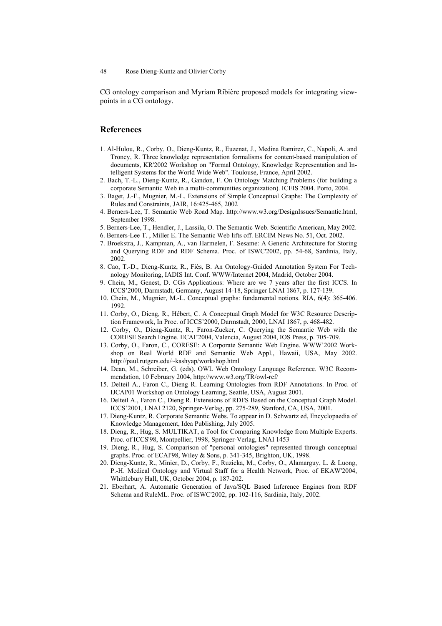CG ontology comparison and Myriam Ribière proposed models for integrating viewpoints in a CG ontology.

### **References**

- 1. Al-Hulou, R., Corby, O., Dieng-Kuntz, R., Euzenat, J., Medina Ramirez, C., Napoli, A. and Troncy, R. Three knowledge representation formalisms for content-based manipulation of documents, KR'2002 Workshop on "Formal Ontology, Knowledge Representation and Intelligent Systems for the World Wide Web". Toulouse, France, April 2002.
- 2. Bach, T.-L., Dieng-Kuntz, R., Gandon, F. On Ontology Matching Problems (for building a corporate Semantic Web in a multi-communities organization). ICEIS 2004. Porto, 2004.
- 3. Baget, J.-F., Mugnier, M.-L. Extensions of Simple Conceptual Graphs: The Complexity of Rules and Constraints, JAIR, 16:425-465, 2002
- 4. Berners-Lee, T. Semantic Web Road Map. http://www.w3.org/DesignIssues/Semantic.html, September 1998.
- 5. Berners-Lee, T., Hendler, J., Lassila, O. The Semantic Web. Scientific American, May 2002.
- 6. Berners-Lee T. , Miller E. The Semantic Web lifts off. ERCIM News No. 51, Oct. 2002.
- 7. Broekstra, J., Kampman, A., van Harmelen, F. Sesame: A Generic Architecture for Storing and Querying RDF and RDF Schema. Proc. of ISWC'2002, pp. 54-68, Sardinia, Italy, 2002.
- 8. Cao, T.-D., Dieng-Kuntz, R., Fiès, B. An Ontology-Guided Annotation System For Technology Monitoring, IADIS Int. Conf. WWW/Internet 2004, Madrid, October 2004.
- 9. Chein, M., Genest, D. CGs Applications: Where are we 7 years after the first ICCS. In ICCS'2000, Darmstadt, Germany, August 14-18, Springer LNAI 1867, p. 127-139.
- 10. Chein, M., Mugnier, M.-L. Conceptual graphs: fundamental notions. RIA, 6(4): 365-406. 1992.
- 11. Corby, O., Dieng, R., Hébert, C. A Conceptual Graph Model for W3C Resource Description Framework, In Proc. of ICCS'2000, Darmstadt, 2000, LNAI 1867, p. 468-482.
- 12. Corby, O., Dieng-Kuntz, R., Faron-Zucker, C. Querying the Semantic Web with the CORESE Search Engine. ECAI'2004, Valencia, August 2004, IOS Press, p. 705-709.
- 13. Corby, O., Faron, C., CORESE: A Corporate Semantic Web Engine. WWW'2002 Workshop on Real World RDF and Semantic Web Appl., Hawaii, USA, May 2002. http://paul.rutgers.edu/~kashyap/workshop.html
- 14. Dean, M., Schreiber, G. (eds). OWL Web Ontology Language Reference. W3C Recommendation, 10 February 2004, http://www.w3.org/TR/owl-ref/
- 15. Delteil A., Faron C., Dieng R. Learning Ontologies from RDF Annotations. In Proc. of IJCAI'01 Workshop on Ontology Learning, Seattle, USA, August 2001.
- 16. Delteil A., Faron C., Dieng R. Extensions of RDFS Based on the Conceptual Graph Model. ICCS'2001, LNAI 2120, Springer-Verlag, pp. 275-289, Stanford, CA, USA, 2001.
- 17. Dieng-Kuntz, R. Corporate Semantic Webs. To appear in D. Schwartz ed, Encyclopaedia of Knowledge Management, Idea Publishing, July 2005.
- 18. Dieng, R., Hug, S. MULTIKAT, a Tool for Comparing Knowledge from Multiple Experts. Proc. of ICCS'98, Montpellier, 1998, Springer-Verlag, LNAI 1453
- 19. Dieng, R., Hug, S. Comparison of "personal ontologies" represented through conceptual graphs. Proc. of ECAI'98, Wiley & Sons, p. 341-345, Brighton, UK, 1998.
- 20. Dieng-Kuntz, R., Minier, D., Corby, F., Ruzicka, M., Corby, O., Alamarguy, L. & Luong, P.-H. Medical Ontology and Virtual Staff for a Health Network, Proc. of EKAW'2004, Whittlebury Hall, UK, October 2004, p. 187-202.
- 21. Eberhart, A. Automatic Generation of Java/SQL Based Inference Engines from RDF Schema and RuleML. Proc. of ISWC'2002, pp. 102-116, Sardinia, Italy, 2002.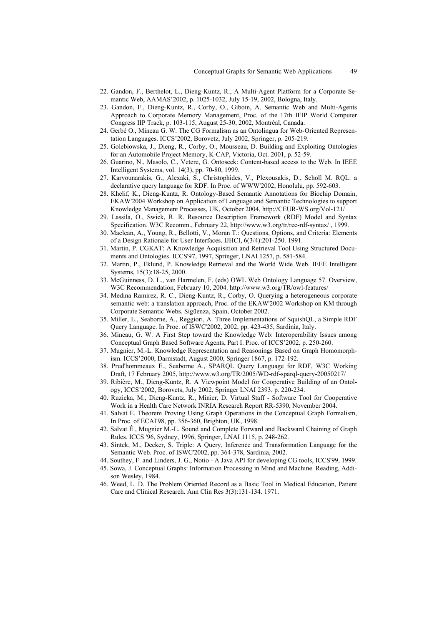- 22. Gandon, F., Berthelot, L., Dieng-Kuntz, R., A Multi-Agent Platform for a Corporate Semantic Web, AAMAS'2002, p. 1025-1032, July 15-19, 2002, Bologna, Italy.
- 23. Gandon, F., Dieng-Kuntz, R., Corby, O., Giboin, A. Semantic Web and Multi-Agents Approach to Corporate Memory Management, Proc. of the 17th IFIP World Computer Congress IIP Track, p. 103-115, August 25-30, 2002, Montréal, Canada.
- 24. Gerbé O., Mineau G. W. The CG Formalism as an Ontolingua for Web-Oriented Representation Languages. ICCS'2002, Borovetz, July 2002, Springer, p. 205-219.
- 25. Golebiowska, J., Dieng, R., Corby, O., Mousseau, D. Building and Exploiting Ontologies for an Automobile Project Memory, K-CAP, Victoria, Oct. 2001, p. 52-59.
- 26. Guarino, N., Masolo, C., Vetere, G. Ontoseek: Content-based access to the Web. In IEEE Intelligent Systems, vol. 14(3), pp. 70-80, 1999.
- 27. Karvounarakis, G., Alexaki, S., Christophides, V., Plexousakis, D., Scholl M. RQL: a declarative query language for RDF. In Proc. of WWW'2002, Honolulu, pp. 592-603.
- 28. Khelif, K., Dieng-Kuntz, R. Ontology-Based Semantic Annotations for Biochip Domain, EKAW'2004 Workshop on Application of Language and Semantic Technologies to support Knowledge Management Processes, UK, October 2004, http://CEUR-WS.org/Vol-121/
- 29. Lassila, O., Swick, R. R. Resource Description Framework (RDF) Model and Syntax Specification. W3C Recomm., February 22, http://www.w3.org/tr/rec-rdf-syntax/ , 1999.
- 30. Maclean, A., Young, R., Bellotti, V., Moran T.: Questions, Options, and Criteria: Elements of a Design Rationale for User Interfaces. IJHCI, 6(3/4):201-250. 1991.
- 31. Martin, P. CGKAT: A Knowledge Acquisition and Retrieval Tool Using Structured Documents and Ontologies. ICCS'97, 1997, Springer, LNAI 1257, p. 581-584.
- 32. Martin, P., Eklund, P. Knowledge Retrieval and the World Wide Web. IEEE Intelligent Systems, 15(3):18-25, 2000.
- 33. McGuinness, D. L., van Harmelen, F. (eds) OWL Web Ontology Language 57. Overview, W3C Recommendation, February 10, 2004. http://www.w3.org/TR/owl-features/
- 34. Medina Ramirez, R. C., Dieng-Kuntz, R., Corby, O. Querying a heterogeneous corporate semantic web: a translation approach, Proc. of the EKAW'2002 Workshop on KM through Corporate Semantic Webs. Sigüenza, Spain, October 2002.
- 35. Miller, L., Seaborne, A., Reggiori, A. Three Implementations of SquishQL, a Simple RDF Query Language. In Proc. of ISWC'2002, 2002, pp. 423-435, Sardinia, Italy.
- 36. Mineau, G. W. A First Step toward the Knowledge Web: Interoperability Issues among Conceptual Graph Based Software Agents, Part I. Proc. of ICCS'2002, p. 250-260.
- 37. Mugnier, M.-L. Knowledge Representation and Reasonings Based on Graph Homomorphism. ICCS'2000, Darmstadt, August 2000, Springer 1867, p. 172-192.
- 38. Prud'hommeaux E., Seaborne A., SPARQL Query Language for RDF, W3C Working Draft, 17 February 2005, http://www.w3.org/TR/2005/WD-rdf-sparql-query-20050217/
- 39. Ribière, M., Dieng-Kuntz, R. A Viewpoint Model for Cooperative Building of an Ontology, ICCS'2002, Borovets, July 2002, Springer LNAI 2393, p. 220-234.
- 40. Ruzicka, M., Dieng-Kuntz, R., Minier, D. Virtual Staff Software Tool for Cooperative Work in a Health Care Network INRIA Research Report RR-5390, November 2004.
- 41. Salvat E. Theorem Proving Using Graph Operations in the Conceptual Graph Formalism, In Proc. of ECAI'98, pp. 356-360, Brighton, UK, 1998.
- 42. Salvat É., Mugnier M.-L. Sound and Complete Forward and Backward Chaining of Graph Rules. ICCS '96, Sydney, 1996, Springer, LNAI 1115, p. 248-262.
- 43. Sintek, M., Decker, S. Triple: A Query, Inference and Transformation Language for the Semantic Web. Proc. of ISWC'2002, pp. 364-378, Sardinia, 2002.
- 44. Southey, F. and Linders, J. G., Notio A Java API for developing CG tools, ICCS'99, 1999.
- 45. Sowa, J. Conceptual Graphs: Information Processing in Mind and Machine. Reading, Addison Wesley, 1984.
- 46. Weed, L. D. The Problem Oriented Record as a Basic Tool in Medical Education, Patient Care and Clinical Research. Ann Clin Res 3(3):131-134. 1971.